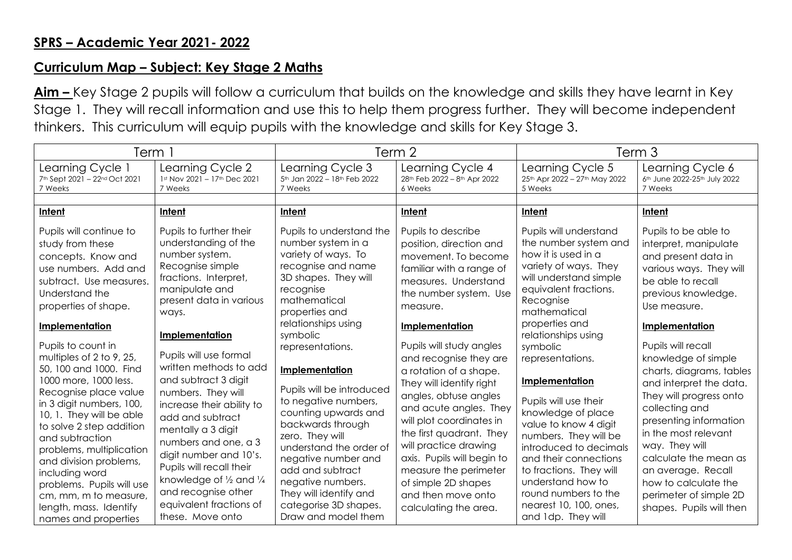## **Curriculum Map – Subject: Key Stage 2 Maths**

**Aim –** Key Stage 2 pupils will follow a curriculum that builds on the knowledge and skills they have learnt in Key Stage 1. They will recall information and use this to help them progress further. They will become independent thinkers. This curriculum will equip pupils with the knowledge and skills for Key Stage 3.

| Learning Cycle 1<br>Learning Cycle 2<br>Learning Cycle 3<br>Learning Cycle 4<br>Learning Cycle 5<br>Learning Cycle 6<br>7th Sept 2021 - 22nd Oct 2021<br>1st Nov 2021 - 17th Dec 2021<br>5th Jan 2022 - 18th Feb 2022<br>25th Apr 2022 - 27th May 2022<br>6th June 2022-25th July 2022<br>28th Feb 2022 - 8th Apr 2022<br>7 Weeks<br>7 Weeks<br>7 Weeks<br>6 Weeks<br>5 Weeks<br>7 Weeks<br>Intent<br>Intent<br>Intent<br>Intent<br>Intent<br>Intent<br>Pupils will continue to<br>Pupils will understand<br>Pupils to further their<br>Pupils to understand the<br>Pupils to describe<br>Pupils to be able to<br>understanding of the<br>number system in a<br>the number system and<br>study from these<br>position, direction and<br>interpret, manipulate<br>number system.<br>variety of ways. To<br>how it is used in a<br>movement. To become<br>concepts. Know and<br>and present data in<br>variety of ways. They<br>Recognise simple<br>recognise and name<br>familiar with a range of<br>use numbers. Add and<br>will understand simple<br>fractions. Interpret,<br>3D shapes. They will<br>measures. Understand<br>be able to recall<br>subtract. Use measures.<br>manipulate and<br>equivalent fractions.<br>recognise<br>Understand the<br>the number system. Use<br>previous knowledge.<br>mathematical<br>present data in various<br>Recognise<br>properties of shape.<br>Use measure.<br>measure.<br>mathematical<br>properties and<br>ways.<br>properties and<br>relationships using<br>Implementation<br>Implementation<br>Implementation<br>relationships using<br>Implementation<br>symbolic<br>Pupils to count in<br>Pupils will study angles<br>Pupils will recall<br>representations.<br>symbolic<br>Pupils will use formal<br>multiples of 2 to 9, 25,<br>and recognise they are<br>representations.<br>knowledge of simple<br>written methods to add<br>50, 100 and 1000. Find<br>Implementation<br>a rotation of a shape.<br>1000 more, 1000 less.<br>and subtract 3 digit<br>Implementation<br>They will identify right<br>Pupils will be introduced<br>Recognise place value<br>numbers. They will<br>angles, obtuse angles<br>to negative numbers,<br>Pupils will use their<br>in 3 digit numbers, 100,<br>increase their ability to<br>and acute angles. They<br>collecting and<br>knowledge of place<br>counting upwards and<br>10, 1. They will be able<br>add and subtract<br>will plot coordinates in<br>value to know 4 digit<br>backwards through<br>to solve 2 step addition<br>mentally a 3 digit<br>in the most relevant<br>the first quadrant. They<br>zero. They will<br>numbers. They will be<br>and subtraction<br>numbers and one, a 3<br>will practice drawing<br>way. They will<br>understand the order of<br>introduced to decimals<br>problems, multiplication<br>digit number and 10's. | Term i                 |  | Term 2              |                            | Term 3                |                                                                                                                                                                                                                    |
|-------------------------------------------------------------------------------------------------------------------------------------------------------------------------------------------------------------------------------------------------------------------------------------------------------------------------------------------------------------------------------------------------------------------------------------------------------------------------------------------------------------------------------------------------------------------------------------------------------------------------------------------------------------------------------------------------------------------------------------------------------------------------------------------------------------------------------------------------------------------------------------------------------------------------------------------------------------------------------------------------------------------------------------------------------------------------------------------------------------------------------------------------------------------------------------------------------------------------------------------------------------------------------------------------------------------------------------------------------------------------------------------------------------------------------------------------------------------------------------------------------------------------------------------------------------------------------------------------------------------------------------------------------------------------------------------------------------------------------------------------------------------------------------------------------------------------------------------------------------------------------------------------------------------------------------------------------------------------------------------------------------------------------------------------------------------------------------------------------------------------------------------------------------------------------------------------------------------------------------------------------------------------------------------------------------------------------------------------------------------------------------------------------------------------------------------------------------------------------------------------------------------------------------------------------------------------------------------------------------------------------------------------------------------------------------------------------------------------------------------------------------------------------------------------------------------------------------------|------------------------|--|---------------------|----------------------------|-----------------------|--------------------------------------------------------------------------------------------------------------------------------------------------------------------------------------------------------------------|
|                                                                                                                                                                                                                                                                                                                                                                                                                                                                                                                                                                                                                                                                                                                                                                                                                                                                                                                                                                                                                                                                                                                                                                                                                                                                                                                                                                                                                                                                                                                                                                                                                                                                                                                                                                                                                                                                                                                                                                                                                                                                                                                                                                                                                                                                                                                                                                                                                                                                                                                                                                                                                                                                                                                                                                                                                                           |                        |  |                     |                            |                       |                                                                                                                                                                                                                    |
|                                                                                                                                                                                                                                                                                                                                                                                                                                                                                                                                                                                                                                                                                                                                                                                                                                                                                                                                                                                                                                                                                                                                                                                                                                                                                                                                                                                                                                                                                                                                                                                                                                                                                                                                                                                                                                                                                                                                                                                                                                                                                                                                                                                                                                                                                                                                                                                                                                                                                                                                                                                                                                                                                                                                                                                                                                           |                        |  |                     |                            |                       |                                                                                                                                                                                                                    |
|                                                                                                                                                                                                                                                                                                                                                                                                                                                                                                                                                                                                                                                                                                                                                                                                                                                                                                                                                                                                                                                                                                                                                                                                                                                                                                                                                                                                                                                                                                                                                                                                                                                                                                                                                                                                                                                                                                                                                                                                                                                                                                                                                                                                                                                                                                                                                                                                                                                                                                                                                                                                                                                                                                                                                                                                                                           |                        |  |                     |                            |                       |                                                                                                                                                                                                                    |
| Pupils will recall their<br>add and subtract<br>to fractions. They will<br>measure the perimeter<br>an average. Recall<br>including word<br>knowledge of 1/2 and 1/4<br>negative numbers.<br>understand how to<br>how to calculate the<br>of simple 2D shapes<br>problems. Pupils will use<br>and recognise other<br>They will identify and<br>round numbers to the<br>and then move onto<br>cm, mm, m to measure,<br>equivalent fractions of<br>categorise 3D shapes.<br>nearest 10, 100, ones,<br>length, mass. Identify<br>calculating the area.<br>Draw and model them<br>and 1dp. They will<br>these. Move onto<br>names and properties                                                                                                                                                                                                                                                                                                                                                                                                                                                                                                                                                                                                                                                                                                                                                                                                                                                                                                                                                                                                                                                                                                                                                                                                                                                                                                                                                                                                                                                                                                                                                                                                                                                                                                                                                                                                                                                                                                                                                                                                                                                                                                                                                                                              | and division problems, |  | negative number and | axis. Pupils will begin to | and their connections | various ways. They will<br>charts, diagrams, tables<br>and interpret the data.<br>They will progress onto<br>presenting information<br>calculate the mean as<br>perimeter of simple 2D<br>shapes. Pupils will then |